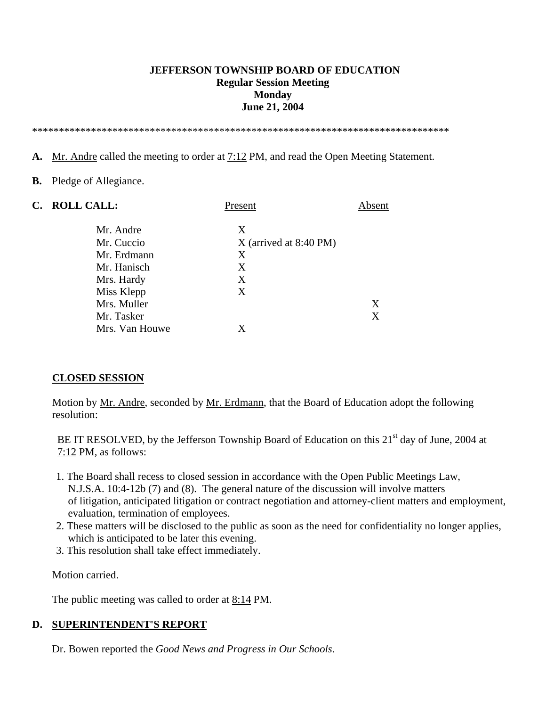### **JEFFERSON TOWNSHIP BOARD OF EDUCATION Regular Session Meeting Monday June 21, 2004**

\*\*\*\*\*\*\*\*\*\*\*\*\*\*\*\*\*\*\*\*\*\*\*\*\*\*\*\*\*\*\*\*\*\*\*\*\*\*\*\*\*\*\*\*\*\*\*\*\*\*\*\*\*\*\*\*\*\*\*\*\*\*\*\*\*\*\*\*\*\*\*\*\*\*\*\*\*\*

- **A.** Mr. Andre called the meeting to order at 7:12 PM, and read the Open Meeting Statement.
- **B.** Pledge of Allegiance.

| C. ROLL CALL:  | Present                  | Absent |
|----------------|--------------------------|--------|
| Mr. Andre      | X                        |        |
| Mr. Cuccio     | $X$ (arrived at 8:40 PM) |        |
| Mr. Erdmann    | X                        |        |
| Mr. Hanisch    | X                        |        |
| Mrs. Hardy     | X                        |        |
| Miss Klepp     | X                        |        |
| Mrs. Muller    |                          | X      |
| Mr. Tasker     |                          | Χ      |
| Mrs. Van Houwe | X                        |        |

### **CLOSED SESSION**

 Motion by Mr. Andre, seconded by Mr. Erdmann, that the Board of Education adopt the following resolution:

BE IT RESOLVED, by the Jefferson Township Board of Education on this 21<sup>st</sup> day of June, 2004 at 7:12 PM, as follows:

- 1. The Board shall recess to closed session in accordance with the Open Public Meetings Law, N.J.S.A. 10:4-12b (7) and (8). The general nature of the discussion will involve matters of litigation, anticipated litigation or contract negotiation and attorney-client matters and employment, evaluation, termination of employees.
- 2. These matters will be disclosed to the public as soon as the need for confidentiality no longer applies, which is anticipated to be later this evening.
- 3. This resolution shall take effect immediately.

Motion carried.

The public meeting was called to order at 8:14 PM.

### **D. SUPERINTENDENT'S REPORT**

Dr. Bowen reported the *Good News and Progress in Our Schools*.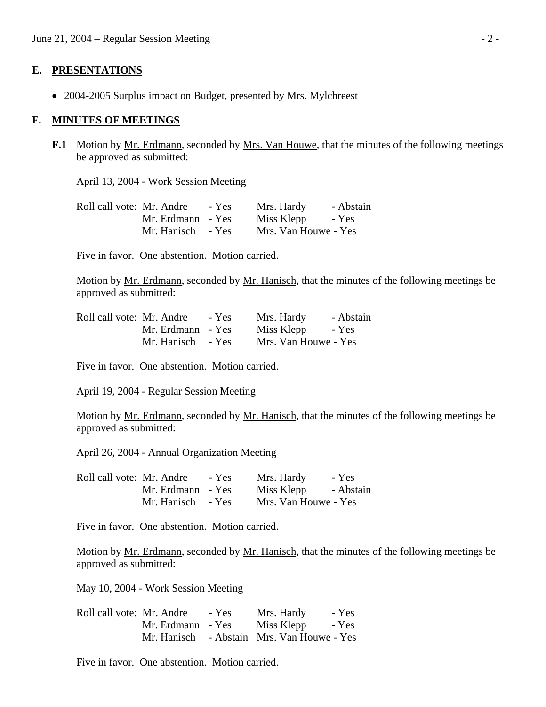#### **E. PRESENTATIONS**

• 2004-2005 Surplus impact on Budget, presented by Mrs. Mylchreest

#### **F. MINUTES OF MEETINGS**

**F.1** Motion by Mr. Erdmann, seconded by Mrs. Van Houwe, that the minutes of the following meetings be approved as submitted:

April 13, 2004 - Work Session Meeting

| Roll call vote: Mr. Andre | $-$ Yes           | Mrs. Hardy           | - Abstain |
|---------------------------|-------------------|----------------------|-----------|
|                           | Mr. Erdmann - Yes | Miss Klepp - Yes     |           |
|                           | Mr. Hanisch - Yes | Mrs. Van Houwe - Yes |           |

Five in favor. One abstention. Motion carried.

Motion by Mr. Erdmann, seconded by Mr. Hanisch, that the minutes of the following meetings be approved as submitted:

| Roll call vote: Mr. Andre - Yes |                   | Mrs. Hardy           | - Abstain |
|---------------------------------|-------------------|----------------------|-----------|
|                                 | Mr. Erdmann - Yes | Miss Klepp - Yes     |           |
|                                 | Mr. Hanisch - Yes | Mrs. Van Houwe - Yes |           |

Five in favor. One abstention. Motion carried.

April 19, 2004 - Regular Session Meeting

 Motion by Mr. Erdmann, seconded by Mr. Hanisch, that the minutes of the following meetings be approved as submitted:

April 26, 2004 - Annual Organization Meeting

| Roll call vote: Mr. Andre - Yes |                   | Mrs. Hardy           | - Yes |
|---------------------------------|-------------------|----------------------|-------|
|                                 | Mr. Erdmann - Yes | Miss Klepp - Abstain |       |
|                                 | Mr. Hanisch - Yes | Mrs. Van Houwe - Yes |       |

Five in favor. One abstention. Motion carried.

Motion by <u>Mr. Erdmann</u>, seconded by <u>Mr. Hanisch</u>, that the minutes of the following meetings be approved as submitted:

May 10, 2004 - Work Session Meeting

| Roll call vote: Mr. Andre |                   | - Yes | Mrs. Hardy                                 | - Yes |
|---------------------------|-------------------|-------|--------------------------------------------|-------|
|                           | Mr. Erdmann - Yes |       | Miss Klepp                                 | - Yes |
|                           |                   |       | Mr. Hanisch - Abstain Mrs. Van Houwe - Yes |       |

Five in favor. One abstention. Motion carried.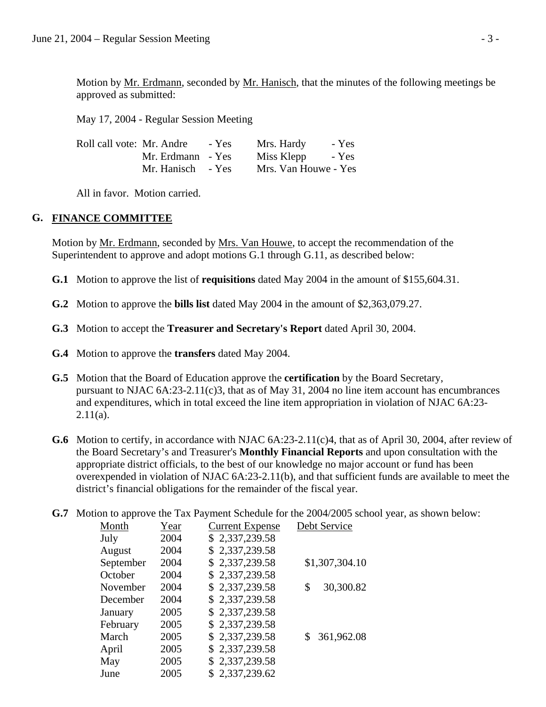Motion by Mr. Erdmann, seconded by Mr. Hanisch, that the minutes of the following meetings be approved as submitted:

May 17, 2004 - Regular Session Meeting

| Roll call vote: Mr. Andre | - Yes             | Mrs. Hardy           | - Yes |
|---------------------------|-------------------|----------------------|-------|
|                           | Mr. Erdmann - Yes | Miss Klepp           | - Yes |
|                           | Mr. Hanisch - Yes | Mrs. Van Houwe - Yes |       |

All in favor. Motion carried.

## **G. FINANCE COMMITTEE**

Motion by Mr. Erdmann, seconded by Mrs. Van Houwe, to accept the recommendation of the Superintendent to approve and adopt motions G.1 through G.11, as described below:

- **G.1** Motion to approve the list of **requisitions** dated May 2004 in the amount of \$155,604.31.
- **G.2** Motion to approve the **bills list** dated May 2004 in the amount of \$2,363,079.27.
- **G.3** Motion to accept the **Treasurer and Secretary's Report** dated April 30, 2004.
- **G.4** Motion to approve the **transfers** dated May 2004.
- **G.5** Motion that the Board of Education approve the **certification** by the Board Secretary, pursuant to NJAC 6A:23-2.11(c)3, that as of May 31, 2004 no line item account has encumbrances and expenditures, which in total exceed the line item appropriation in violation of NJAC 6A:23-  $2.11(a)$ .
- **G.6** Motion to certify, in accordance with NJAC 6A:23-2.11(c)4, that as of April 30, 2004, after review of the Board Secretary's and Treasurer's **Monthly Financial Reports** and upon consultation with the appropriate district officials, to the best of our knowledge no major account or fund has been overexpended in violation of NJAC 6A:23-2.11(b), and that sufficient funds are available to meet the district's financial obligations for the remainder of the fiscal year.
- **G.7** Motion to approve the Tax Payment Schedule for the 2004/2005 school year, as shown below:

| Month     | Year | <b>Current Expense</b> | Debt Service    |
|-----------|------|------------------------|-----------------|
| July      | 2004 | \$2,337,239.58         |                 |
| August    | 2004 | \$2,337,239.58         |                 |
| September | 2004 | \$2,337,239.58         | \$1,307,304.10  |
| October   | 2004 | \$2,337,239.58         |                 |
| November  | 2004 | \$2,337,239.58         | 30,300.82<br>\$ |
| December  | 2004 | \$2,337,239.58         |                 |
| January   | 2005 | \$2,337,239.58         |                 |
| February  | 2005 | \$2,337,239.58         |                 |
| March     | 2005 | \$2,337,239.58         | 361,962.08      |
| April     | 2005 | \$2,337,239.58         |                 |
| May       | 2005 | \$2,337,239.58         |                 |
| June      | 2005 | \$2,337,239.62         |                 |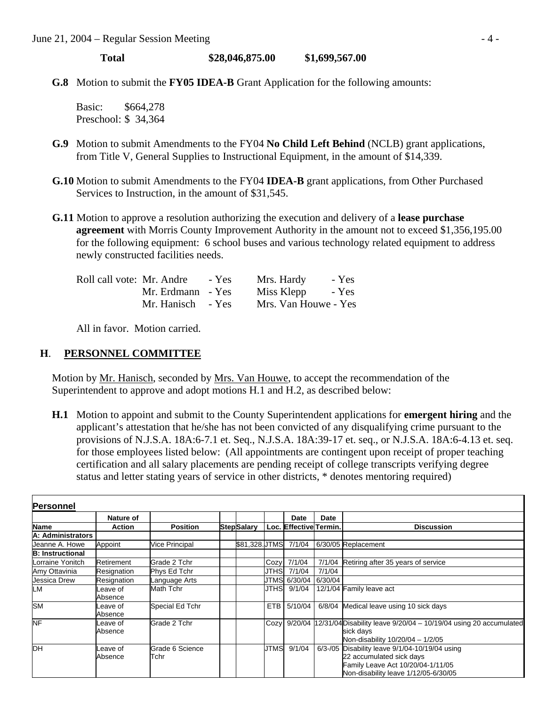**Total \$28,046,875.00 \$1,699,567.00** 

**G.8** Motion to submit the **FY05 IDEA-B** Grant Application for the following amounts:

 Basic: \$664,278 Preschool: \$ 34,364

- **G.9** Motion to submit Amendments to the FY04 **No Child Left Behind** (NCLB) grant applications, from Title V, General Supplies to Instructional Equipment, in the amount of \$14,339.
- **G.10** Motion to submit Amendments to the FY04 **IDEA-B** grant applications, from Other Purchased Services to Instruction, in the amount of \$31,545.
- **G.11** Motion to approve a resolution authorizing the execution and delivery of a **lease purchase agreement** with Morris County Improvement Authority in the amount not to exceed \$1,356,195.00 for the following equipment: 6 school buses and various technology related equipment to address newly constructed facilities needs.

| Roll call vote: Mr. Andre | - Yes | Mrs. Hardy           | - Yes |
|---------------------------|-------|----------------------|-------|
| Mr. Erdmann - Yes         |       | Miss Klepp           | - Yes |
| Mr. Hanisch - Yes         |       | Mrs. Van Houwe - Yes |       |

All in favor. Motion carried.

### **H**. **PERSONNEL COMMITTEE**

Motion by Mr. Hanisch, seconded by Mrs. Van Houwe, to accept the recommendation of the Superintendent to approve and adopt motions H.1 and H.2, as described below:

 **H.1** Motion to appoint and submit to the County Superintendent applications for **emergent hiring** and the applicant's attestation that he/she has not been convicted of any disqualifying crime pursuant to the provisions of N.J.S.A. 18A:6-7.1 et. Seq., N.J.S.A. 18A:39-17 et. seq., or N.J.S.A. 18A:6-4.13 et. seq. for those employees listed below: (All appointments are contingent upon receipt of proper teaching certification and all salary placements are pending receipt of college transcripts verifying degree status and letter stating years of service in other districts, \* denotes mentoring required)

| Personnel               |                     |                         |                    |            |                        |         |                                                                                                                                                         |
|-------------------------|---------------------|-------------------------|--------------------|------------|------------------------|---------|---------------------------------------------------------------------------------------------------------------------------------------------------------|
|                         | Nature of           |                         |                    |            | <b>Date</b>            | Date    |                                                                                                                                                         |
| Name                    | <b>Action</b>       | <b>Position</b>         | <b>Step</b> Salary |            | Loc. Effective Termin. |         | <b>Discussion</b>                                                                                                                                       |
| A: Administrators       |                     |                         |                    |            |                        |         |                                                                                                                                                         |
| Jeanne A. Howe          | Appoint             | <b>Vice Principal</b>   | \$81.328.UTMS      |            | 7/1/04                 |         | 6/30/05 Replacement                                                                                                                                     |
| <b>B: Instructional</b> |                     |                         |                    |            |                        |         |                                                                                                                                                         |
| Lorraine Yonitch        | Retirement          | Grade 2 Tchr            |                    | Cozy       | 7/1/04                 |         | 7/1/04 Retiring after 35 years of service                                                                                                               |
| Amy Ottavinia           | Resignation         | Phys Ed Tchr            |                    | JTHS       | 7/1/04                 | 7/1/04  |                                                                                                                                                         |
| Jessica Drew            | Resignation         | Language Arts           |                    | JTMS       | 6/30/04                | 6/30/04 |                                                                                                                                                         |
| LМ                      | Leave of<br>Absence | Math Tchr               |                    | JTHSI      | 9/1/04                 |         | 12/1/04 Family leave act                                                                                                                                |
| <b>SM</b>               | Leave of<br>Absence | Special Ed Tchr         |                    | <b>ETB</b> | 5/10/04                |         | 6/8/04 Medical leave using 10 sick days                                                                                                                 |
| <b>NF</b>               | Leave of<br>Absence | Grade 2 Tchr            |                    | Cozy       |                        |         | 9/20/04 12/31/04 Disability leave 9/20/04 - 10/19/04 using 20 accumulated<br>sick days<br>Non-disability 10/20/04 - 1/2/05                              |
| DН                      | Leave of<br>Absence | Grade 6 Science<br>Tchr |                    | JTMS       | 9/1/04                 |         | 6/3-/05 Disability leave 9/1/04-10/19/04 using<br>22 accumulated sick days<br>Family Leave Act 10/20/04-1/11/05<br>Non-disability leave 1/12/05-6/30/05 |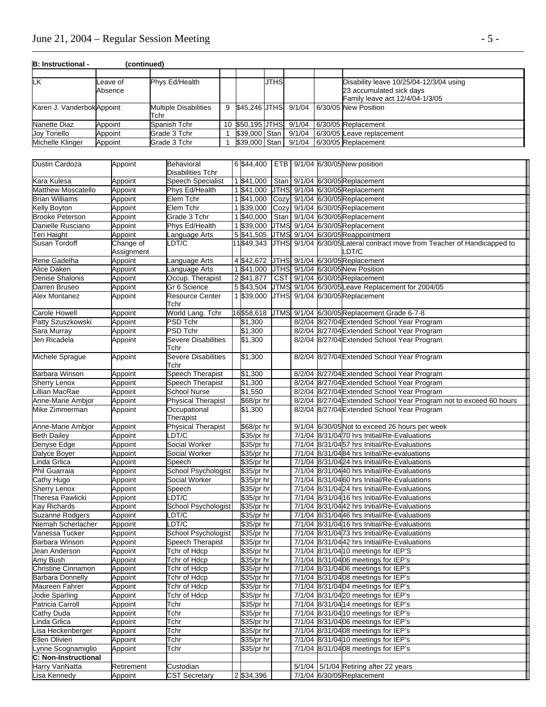## June 21, 2004 – Regular Session Meeting - 5 -

| B: Instructional -        | (continued) |                              |   |                      |             |        |                                         |
|---------------------------|-------------|------------------------------|---|----------------------|-------------|--------|-----------------------------------------|
|                           |             |                              |   |                      |             |        |                                         |
| LK                        | Leave of    | Phys Ed/Health               |   |                      | <b>JTHS</b> |        | Disability leave 10/25/04-12/3/04 using |
|                           | Absence     |                              |   |                      |             |        | 23 accumulated sick days                |
|                           |             |                              |   |                      |             |        | Family leave act 12/4/04-1/3/05         |
| Karen J. VanderbokAppoint |             | <b>Multiple Disabilities</b> | 9 | \$45.246 JTHS 9/1/04 |             |        | 6/30/05 New Position                    |
|                           |             | Tchr                         |   |                      |             |        |                                         |
| Nanette Diaz              | Appoint     | Spanish Tchr                 |   | 10 \$50.195 JTHS     |             | 9/1/04 | 6/30/05 Replacement                     |
| Joy Toriello              | Appoint     | Grade 3 Tchr                 |   | \$39,000 Stan        |             | 9/1/04 | 6/30/05 Leave replacement               |
| Michelle Klinger          | Appoint     | Grade 3 Tchr                 |   | \$39,000 Stan        |             | 9/1/04 | 6/30/05 Replacement                     |

| Dustin Cardoza          | Appoint                 | <b>Behavioral</b><br><b>Disabilities Tchr</b> | 6 \$44,400              |             |  | ETB   9/1/04 6/30/05 New position                                                 |
|-------------------------|-------------------------|-----------------------------------------------|-------------------------|-------------|--|-----------------------------------------------------------------------------------|
| Kara Kulesa             | Appoint                 | <b>Speech Specialist</b>                      | 1 \$41,000              | Stan        |  | 9/1/04 6/30/05 Replacement                                                        |
| Matthew Moscatello      | Appoint                 | Phys Ed/Health                                | 1 \$41,000              |             |  | JTHS 9/1/04 6/30/05 Replacement                                                   |
| <b>Brian Williams</b>   | Appoint                 | Elem Tchr                                     | 1 \$41,000              | Cozy        |  | 9/1/04 6/30/05 Replacement                                                        |
| Kelly Boyton            | Appoint                 | Elem Tchr                                     | 1 \$39,000              | Cozy        |  | 9/1/04 6/30/05 Replacement                                                        |
| <b>Brooke Peterson</b>  | Appoint                 | Grade 3 Tchr                                  | 1 \$40,000              | Stan        |  | 9/1/04 6/30/05 Replacement                                                        |
| Danielle Rusciano       | Appoint                 | Phys Ed/Health                                | 1 \$39,000              | <b>JTMS</b> |  | 9/1/04 6/30/05 Replacement                                                        |
| Teri Haight             | Appoint                 | Language Arts                                 | 5 \$41,505              | <b>JTMS</b> |  | 9/1/04 6/30/05 Reappointment                                                      |
| Susan Tordoff           | Change of<br>Assignment | _DT/C                                         | 11 \$49,343             |             |  | JTHS 9/1/04 6/30/05 Lateral contract move from Teacher of Handicapped to<br>LDT/C |
| Rene Gadelha            | Appoint                 | anguage Arts                                  | 4 \$42,672              |             |  | JTHS 9/1/04 6/30/05 Replacement                                                   |
| Alice Daken             | Appoint                 | Language Arts                                 | 1 \$41,000              |             |  | JTHS 9/1/04 6/30/05 New Position                                                  |
| Denise Shalonis         | Appoint                 | Occup. Therapist                              | 2 \$41,877              | <b>CST</b>  |  | 9/1/04 6/30/05 Replacement                                                        |
| Darren Bruseo           | Appoint                 | Gr 6 Science                                  | 5 \$43,504              |             |  | JTMS 9/1/04 6/30/05 Leave Replacement for 2004/05                                 |
| Alex Montanez           | Appoint                 | <b>Resource Center</b><br>Tchr                | 1 \$39,000              |             |  | JTHS 9/1/04 6/30/05 Replacement                                                   |
| <b>Carole Howell</b>    | Appoint                 | World Lang. Tchr                              | 16\$58,618              | <b>JTMS</b> |  | 9/1/04 6/30/05 Replacement Grade 6-7-8                                            |
| Patty Szuszkowski       | Appoint                 | PSD Tchr                                      | \$1,300                 |             |  | 8/2/04 8/27/04 Extended School Year Program                                       |
| Sara Murray             | Appoint                 | PSD Tchr                                      | \$1,300                 |             |  | 8/2/04 8/27/04 Extended School Year Program                                       |
| Jen Ricadela            | Appoint                 | <b>Severe Disabilities</b><br>Tchr            | \$1,300                 |             |  | 8/2/04 8/27/04 Extended School Year Program                                       |
| Michele Sprague         | Appoint                 | Severe Disabilities<br>Tchr                   | \$1,300                 |             |  | 8/2/04 8/27/04 Extended School Year Program                                       |
| Barbara Winson          | Appoint                 | <b>Speech Therapist</b>                       | \$1,300                 |             |  | 8/2/04 8/27/04 Extended School Year Program                                       |
| Sherry Lenox            | Appoint                 | <b>Speech Therapist</b>                       | \$1,300                 |             |  | 8/2/04 8/27/04 Extended School Year Program                                       |
| Lillian MacRae          | Appoint                 | <b>School Nurse</b>                           | \$1,550                 |             |  | 8/2/04 8/27/04 Extended School Year Program                                       |
| Anne-Marie Ambjor       | Appoint                 | <b>Physical Therapist</b>                     | \$68/pr hr              |             |  | 8/2/04 8/27/04 Extended School Year Program not to exceed 60 hours                |
| Mike Zimmerman          | Appoint                 | Occupational<br>Therapist                     | \$1,300                 |             |  | 8/2/04 8/27/04 Extended School Year Program                                       |
| Anne-Marie Ambjor       | Appoint                 | <b>Physical Therapist</b>                     | $\overline{$}68$ /pr hr |             |  | 9/1/04 6/30/05 Not to exceed 26 hours per week                                    |
| <b>Beth Dailey</b>      | Appoint                 | DT/C                                          | \$35/pr hr              |             |  | 7/1/04 8/31/04 70 hrs Initial/Re-Evaluations                                      |
| Denyse Edge             | Appoint                 | Social Worker                                 | \$35/pr hr              |             |  | 7/1/04 8/31/0457 hrs Initial/Re-Evaluations                                       |
| Dalyce Boyer            | Appoint                 | Social Worker                                 | \$35/pr hr              |             |  | 7/1/04 8/31/0484 hrs Initial/Re-evaluations                                       |
| Linda Grlica            | Appoint                 | Speech                                        | \$35/pr hr              |             |  | 7/1/04 8/31/04 24 hrs Initial/Re-Evaluations                                      |
| Phil Guarraia           | Appoint                 | School Psychologist                           | \$35/pr hr              |             |  | 7/1/04 8/31/0440 hrs Initial/Re-Evaluations                                       |
| Cathy Hugo              | Appoint                 | Social Worker                                 | \$35/pr hr              |             |  | 7/1/04 8/31/04 60 hrs Initial/Re-Evaluations                                      |
| <b>Sherry Lenox</b>     | Appoint                 | Speech                                        | \$35/pr hr              |             |  | 7/1/04 8/31/04 24 hrs Initial/Re-Evaluations                                      |
| Theresa Pawlicki        | Appiont                 | DT/C                                          | \$35/pr hr              |             |  | 7/1/04 8/31/0416 hrs Initial/Re-Evaluations                                       |
| Kay Richards            | Appoint                 | School Psychologist                           | \$35/pr hr              |             |  | 7/1/04 8/31/0442 hrs Initial/Re-Evaluations                                       |
| Suzanne Rodgers         | Appoint                 | DT/C                                          | \$35/pr hr              |             |  | 7/1/04 8/31/04 46 hrs Initial/Re-Evaluations                                      |
| Niemah Scherlacher      | Appoint                 | DT/C                                          | \$35/pr hr              |             |  | 7/1/04 8/31/04 16 hrs Initial/Re-Evaluations                                      |
| Vanessa Tucker          | Appoint                 | School Psychologist                           | \$35/pr hr              |             |  | 7/1/04 8/31/0473 hrs Initial/Re-Evaluations                                       |
| Barbara Winson          | Appoint                 | <b>Speech Therapist</b>                       | \$35/pr hr              |             |  | 7/1/04 8/31/0442 hrs Initial/Re-Evaluations                                       |
| Jean Anderson           | Appoint                 | Tchr of Hdcp                                  | \$35/pr hr              |             |  | 7/1/04 8/31/04 10 meetings for IEP'S                                              |
| Amy Bush                | Appoint                 | Tchr of Hdcp                                  | \$35/pr hr              |             |  | 7/1/04 8/31/0406 meetings for IEP's                                               |
| Christine Cinnamon      | Appoint                 | Tchr of Hdcp                                  | \$35/pr hr              |             |  | 7/1/04 8/31/0406 meetings for IEP's                                               |
| <b>Barbara Donnelly</b> | Appoint                 | Tchr of Hdcp                                  | \$35/pr hr              |             |  | 7/1/04 8/31/0408 meetings for IEP's                                               |
| Maureen Fahrer          | Appoint                 | Tchr of Hdcp                                  | \$35/pr hr              |             |  | 7/1/04 8/31/0404 meetings for IEP's                                               |
| <b>Jodie Sparling</b>   | Appoint                 | Tchr of Hdcp                                  | \$35/pr hr              |             |  | 7/1/04 8/31/04 20 meetings for IEP's                                              |
| Patricia Carroll        | Appoint                 | Tchr                                          | \$35/pr hr              |             |  | 7/1/04 8/31/04 14 meetings for IEP's                                              |
| Cathy Duda              | Appoint                 | Tchr                                          | \$35/pr hr              |             |  | 7/1/04 8/31/04 10 meetings for IEP's                                              |
| Linda Grlica            | Appoint                 | Tchr                                          | \$35/pr hr              |             |  | 7/1/04 8/31/04 06 meetings for IEP's                                              |
| Lisa Heckenberger       | Appoint                 | Tchr                                          | \$35/pr hr              |             |  | 7/1/04 8/31/04 08 meetings for IEP's                                              |
| Ellen Olivieri          | Appoint                 | Tchr                                          | \$35/pr hr              |             |  | 7/1/04 8/31/04 10 meetings for IEP's                                              |
| Lynne Scognamiglio      | Appoint                 | Tchr                                          | \$35/pr hr              |             |  | 7/1/04 8/31/04 08 meetings for IEP's                                              |
| C: Non-Instructional    |                         |                                               |                         |             |  |                                                                                   |
| Harry VanNatta          | Retirement              | Custodian                                     |                         |             |  | 5/1/04 5/1/04 Retiring after 22 years                                             |
| Lisa Kennedy            | Appoint                 | <b>CST Secretary</b>                          | 2 \$34,396              |             |  | 7/1/04 6/30/05 Replacement                                                        |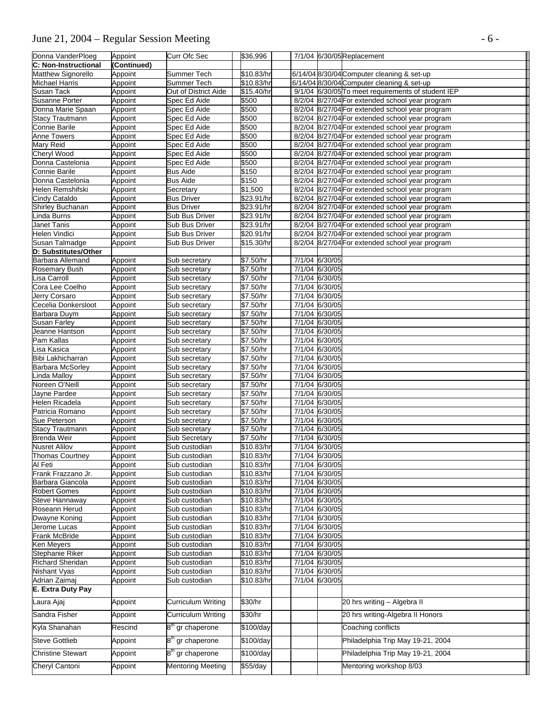# June 21, 2004 – Regular Session Meeting - 6 -

| Donna VanderPloeg                       | Appoint            | Curr Ofc Sec                   | \$36,996                 |  |                                  | 7/1/04 6/30/05 Replacement                         |
|-----------------------------------------|--------------------|--------------------------------|--------------------------|--|----------------------------------|----------------------------------------------------|
| C: Non-Instructional                    | (Continued)        |                                |                          |  |                                  |                                                    |
| Matthew Signorello                      | Appoint            | Summer Tech                    | \$10.83/hr               |  |                                  | 6/14/04 8/30/04 Computer cleaning & set-up         |
| Michael Harris                          | Appoint            | Summer Tech                    | \$10.83/hr               |  |                                  | 6/14/04 8/30/04 Computer cleaning & set-up         |
| Susan Tack                              | Appoint            | Out of District Aide           | \$15.40/hr               |  |                                  | 9/1/04 6/30/05 To meet requirements of student IEP |
| Susanne Porter                          | Appoint            | Spec Ed Aide                   | \$500                    |  |                                  | 8/2/04 8/27/04 For extended school year program    |
| Donna Marie Spaan                       | Appoint            | Spec Ed Aide                   | \$500                    |  |                                  | 8/2/04 8/27/04 For extended school year program    |
| <b>Stacy Trautmann</b>                  | Appoint            | Spec Ed Aide                   | \$500                    |  |                                  | 8/2/04 8/27/04 For extended school year program    |
| Connie Barile                           | Appoint            | Spec Ed Aide                   | \$500                    |  |                                  | 8/2/04 8/27/04 For extended school year program    |
| Anne Towers                             | Appoint            | Spec Ed Aide                   | \$500                    |  |                                  | 8/2/04 8/27/04 For extended school year program    |
| Mary Reid                               | Appoint            | Spec Ed Aide                   | \$500                    |  |                                  | 8/2/04 8/27/04 For extended school year program    |
| Cheryl Wood                             | Appoint            | Spec Ed Aide                   | \$500                    |  |                                  | 8/2/04 8/27/04 For extended school year program    |
| Donna Castelonia                        | Appoint            | Spec Ed Aide                   | \$500                    |  |                                  | 8/2/04 8/27/04 For extended school year program    |
| Connie Barile                           | Appoint            | <b>Bus Aide</b>                | \$150                    |  |                                  | 8/2/04 8/27/04 For extended school year program    |
| Donna Castelonia                        | Appoint            | <b>Bus Aide</b>                | \$150                    |  |                                  | 8/2/04 8/27/04 For extended school year program    |
| Helen Remshifski                        | Appoint            | Secretary                      | \$1,500                  |  |                                  | 8/2/04 8/27/04 For extended school year program    |
| Cindy Cataldo                           | Appoint            | <b>Bus Driver</b>              | \$23.91/hr               |  |                                  | 8/2/04 8/27/04 For extended school year program    |
| <b>Shirley Buchanan</b>                 | Appoint            | <b>Bus Driver</b>              | \$23.91/hr               |  |                                  | 8/2/04 8/27/04 For extended school year program    |
| Linda Burns                             | Appoint            | Sub Bus Driver                 | \$23.91/hr               |  |                                  | 8/2/04 8/27/04 For extended school year program    |
| Janet Tanis                             | Appoint            | <b>Sub Bus Driver</b>          | \$23.91/hr               |  |                                  | 8/2/04 8/27/04 For extended school year program    |
| Helen Vindici                           | Appoint            | <b>Sub Bus Driver</b>          | \$20.91/hr               |  |                                  | 8/2/04 8/27/04 For extended school year program    |
| Susan Talmadge                          | Appoint            | Sub Bus Driver                 | \$15.30/hr               |  |                                  | 8/2/04 8/27/04 For extended school year program    |
| D: Substitutes/Other                    |                    |                                |                          |  |                                  |                                                    |
| <b>Barbara Allemand</b>                 | Appoint            | Sub secretary                  | $\sqrt{$7.50/hr}$        |  | 7/1/04 6/30/05                   |                                                    |
| Rosemary Bush                           | Appoint            | Sub secretary                  | \$7.50/hr                |  | 7/1/04 6/30/05                   |                                                    |
| isa Carroll                             | Appoint            | Sub secretary                  | \$7.50/hr                |  | 7/1/04 6/30/05                   |                                                    |
| Cora Lee Coelho                         | Appoint            | Sub secretary                  | \$7.50/hr                |  | 7/1/04 6/30/05                   |                                                    |
| Jerry Corsaro                           | Appoint            | Sub secretary                  | \$7.50/hr                |  | 7/1/04 6/30/05                   |                                                    |
| Cecelia Donkersloot                     | Appoint            | Sub secretary                  | \$7.50/hr                |  | 7/1/04 6/30/05                   |                                                    |
| Barbara Duym                            | Appoint            | Sub secretary                  | \$7.50/hr                |  | 7/1/04 6/30/05                   |                                                    |
| Susan Farley                            | Appoint            | Sub secretary                  | \$7.50/hr                |  | 7/1/04 6/30/05                   |                                                    |
| Jeanne Hantson                          | Appoint            | Sub secretary                  | \$7.50/hr                |  | 7/1/04 6/30/05                   |                                                    |
| Pam Kallas                              | Appoint            | Sub secretary                  | \$7.50/hr                |  | 7/1/04 6/30/05                   |                                                    |
| Lisa Kasica                             | Appoint            | Sub secretary                  | \$7.50/hr                |  | 7/1/04 6/30/05                   |                                                    |
| Bibi Lakhicharran                       | Appoint            | Sub secretary                  | \$7.50/hr                |  | 7/1/04 6/30/05                   |                                                    |
| <b>Barbara McSorley</b>                 | Appoint            | Sub secretary                  | \$7.50/hr                |  | 7/1/04 6/30/05                   |                                                    |
| Linda Malloy                            | Appoint            | Sub secretary                  | \$7.50/hr                |  | 7/1/04 6/30/05                   |                                                    |
| Noreen O'Neill                          | Appoint            | Sub secretary                  | \$7.50/hr                |  | 7/1/04 6/30/05                   |                                                    |
| Jayne Pardee                            | Appoint            | Sub secretary                  | \$7.50/hr                |  | 7/1/04 6/30/05                   |                                                    |
| Helen Ricadela                          | Appoint            | Sub secretary                  | \$7.50/hr                |  | 7/1/04 6/30/05                   |                                                    |
| Patricia Romano                         | Appoint            | Sub secretary                  | \$7.50/hr                |  | 7/1/04 6/30/05                   |                                                    |
| Sue Peterson                            | Appoint            | Sub secretary                  | \$7.50/hr                |  | 7/1/04 6/30/05                   |                                                    |
| <b>Stacy Trautmann</b>                  | Appoint            | Sub secretary                  | \$7.50/hr                |  | 7/1/04 6/30/05                   |                                                    |
| <b>Brenda Weir</b>                      | Appoint            | <b>Sub Secretary</b>           | \$7.50/hr                |  | 7/1/04 6/30/05                   |                                                    |
| <b>Nusret Alilov</b>                    | Appoint            | Sub custodian                  | \$10.83/hr               |  | 7/1/04 6/30/05                   |                                                    |
| <b>Thomas Courtney</b>                  | Appoint            | Sub custodian                  | \$10.83/hr               |  | 7/1/04 6/30/05                   |                                                    |
| Al Feti                                 | Appoint            | Sub custodian                  | \$10.83/hr               |  | 7/1/04 6/30/05                   |                                                    |
| Frank Frazzano Jr.                      | Appoint            | Sub custodian                  | \$10.83/hr               |  | 7/1/04 6/30/05                   |                                                    |
| Barbara Giancola<br><b>Robert Gomes</b> | Appoint            | Sub custodian                  | \$10.83/hr               |  | 7/1/04 6/30/05                   |                                                    |
|                                         | Appoint            | Sub custodian                  | \$10.83/hr               |  | 7/1/04 6/30/05                   |                                                    |
| Steve Hannaway<br>Roseann Herud         | Appoint<br>Appoint | Sub custodian<br>Sub custodian | \$10.83/hr<br>\$10.83/hr |  | 7/1/04 6/30/05<br>7/1/04 6/30/05 |                                                    |
|                                         |                    | Sub custodian                  | \$10.83/hr               |  | 7/1/04 6/30/05                   |                                                    |
| Dwayne Koning<br>Jerome Lucas           | Appoint<br>Appoint | Sub custodian                  | \$10.83/hr               |  | 7/1/04 6/30/05                   |                                                    |
| Frank McBride                           | Appoint            | Sub custodian                  | \$10.83/hr               |  | 7/1/04 6/30/05                   |                                                    |
| Ken Meyers                              | Appoint            | Sub custodian                  | \$10.83/hr               |  | 7/1/04 6/30/05                   |                                                    |
| Stephanie Riker                         | Appoint            | Sub custodian                  | \$10.83/hr               |  | 7/1/04 6/30/05                   |                                                    |
| Richard Sheridan                        | Appoint            | Sub custodian                  | \$10.83/hr               |  | 7/1/04 6/30/05                   |                                                    |
| Nishant Vyas                            | Appoint            | Sub custodian                  | \$10.83/hr               |  | 7/1/04 6/30/05                   |                                                    |
| Adrian Zaimaj                           | Appoint            | Sub custodian                  | \$10.83/hr               |  | 7/1/04 6/30/05                   |                                                    |
| E. Extra Duty Pay                       |                    |                                |                          |  |                                  |                                                    |
|                                         |                    |                                |                          |  |                                  |                                                    |
| Laura Ajaj                              | Appoint            | <b>Curriculum Writing</b>      | \$30/hr                  |  |                                  | 20 hrs writing - Algebra II                        |
| Sandra Fisher                           | Appoint            | <b>Curriculum Writing</b>      | \$30/hr                  |  |                                  | 20 hrs writing-Algebra II Honors                   |
|                                         |                    |                                |                          |  |                                  |                                                    |
| Kyla Shanahan                           | Rescind            | 8 <sup>th</sup> gr chaperone   | \$100/day                |  |                                  | Coaching conflicts                                 |
| <b>Steve Gottlieb</b>                   | Appoint            | 8 <sup>th</sup> gr chaperone   | \$100/day                |  |                                  | Philadelphia Trip May 19-21, 2004                  |
| <b>Christine Stewart</b>                |                    | 8 <sup>th</sup> gr chaperone   |                          |  |                                  | Philadelphia Trip May 19-21, 2004                  |
|                                         | Appoint            |                                | \$100/day                |  |                                  |                                                    |
| Cheryl Cantoni                          | Appoint            | <b>Mentoring Meeting</b>       | \$55/day                 |  |                                  | Mentoring workshop 8/03                            |
|                                         |                    |                                |                          |  |                                  |                                                    |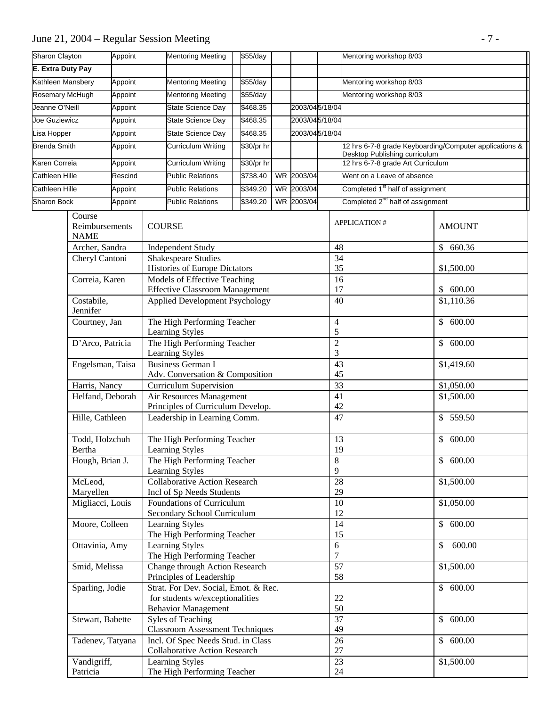# June 21, 2004 – Regular Session Meeting - 7 -

| <b>Sharon Clayton</b>             |                                         | Appoint |                                                                   | <b>Mentoring Meeting</b><br>\$55/day                                           |          |            | Mentoring workshop 8/03 |                 |                              |                         |                                              |               |                                                        |
|-----------------------------------|-----------------------------------------|---------|-------------------------------------------------------------------|--------------------------------------------------------------------------------|----------|------------|-------------------------|-----------------|------------------------------|-------------------------|----------------------------------------------|---------------|--------------------------------------------------------|
| E. Extra Duty Pay                 |                                         |         |                                                                   |                                                                                |          |            |                         |                 |                              |                         |                                              |               |                                                        |
| Kathleen Mansbery                 |                                         | Appoint |                                                                   | \$55/day<br>Mentoring Meeting                                                  |          |            |                         |                 |                              | Mentoring workshop 8/03 |                                              |               |                                                        |
| <b>Rosemary McHugh</b><br>Appoint |                                         |         | <b>Mentoring Meeting</b>                                          |                                                                                | \$55/day |            |                         |                 |                              | Mentoring workshop 8/03 |                                              |               |                                                        |
| Jeanne O'Neill                    |                                         | Appoint |                                                                   | State Science Day                                                              |          | \$468.35   |                         | 2003/04 5/18/04 |                              |                         |                                              |               |                                                        |
| Joe Guziewicz                     |                                         | Appoint |                                                                   | State Science Day                                                              |          | \$468.35   |                         | 2003/04 5/18/04 |                              |                         |                                              |               |                                                        |
| Lisa Hopper                       |                                         | Appoint |                                                                   | <b>State Science Day</b>                                                       |          | \$468.35   |                         | 2003/04 5/18/04 |                              |                         |                                              |               |                                                        |
| <b>Brenda Smith</b>               |                                         | Appoint |                                                                   | Curriculum Writing                                                             |          | \$30/pr hr |                         |                 |                              |                         |                                              |               | 12 hrs 6-7-8 grade Keyboarding/Computer applications & |
|                                   |                                         |         |                                                                   |                                                                                |          |            |                         |                 |                              |                         | Desktop Publishing curriculum                |               |                                                        |
| Karen Correia                     |                                         | Appoint |                                                                   | Curriculum Writing                                                             |          | \$30/pr hr |                         |                 |                              |                         | 12 hrs 6-7-8 grade Art Curriculum            |               |                                                        |
| Cathleen Hille                    |                                         | Rescind |                                                                   | <b>Public Relations</b>                                                        |          | \$738.40   |                         | WR 2003/04      |                              |                         | Went on a Leave of absence                   |               |                                                        |
| Cathleen Hille                    |                                         | Appoint |                                                                   | <b>Public Relations</b>                                                        |          | \$349.20   |                         | WR 2003/04      |                              |                         | Completed 1 <sup>st</sup> half of assignment |               |                                                        |
| <b>Sharon Bock</b>                |                                         | Appoint |                                                                   | <b>Public Relations</b>                                                        |          | \$349.20   |                         | WR 2003/04      |                              |                         | Completed 2 <sup>nd</sup> half of assignment |               |                                                        |
|                                   | Course<br>Reimbursements<br><b>NAME</b> |         | <b>COURSE</b>                                                     |                                                                                |          |            |                         |                 |                              |                         | <b>APPLICATION#</b>                          |               | <b>AMOUNT</b>                                          |
|                                   | Archer, Sandra                          |         |                                                                   | <b>Independent Study</b>                                                       |          |            |                         |                 |                              | 48                      |                                              | $\mathcal{S}$ | 660.36                                                 |
|                                   | Cheryl Cantoni                          |         |                                                                   | <b>Shakespeare Studies</b>                                                     |          |            |                         |                 |                              | 34                      |                                              |               |                                                        |
|                                   |                                         |         |                                                                   | <b>Histories of Europe Dictators</b>                                           |          |            |                         |                 |                              | 35                      | \$1,500.00<br>17<br>\$600.00<br>\$1,110.36   |               |                                                        |
|                                   | Correia, Karen                          |         |                                                                   | Models of Effective Teaching                                                   |          |            |                         |                 |                              | 16                      |                                              |               |                                                        |
|                                   | Costabile,                              |         |                                                                   | <b>Effective Classroom Management</b><br><b>Applied Development Psychology</b> |          |            |                         |                 |                              | 40                      |                                              |               |                                                        |
| Jennifer                          |                                         |         |                                                                   |                                                                                |          |            |                         |                 |                              |                         |                                              |               |                                                        |
| Courtney, Jan                     |                                         |         |                                                                   | The High Performing Teacher                                                    |          |            |                         |                 |                              | $\overline{4}$          |                                              |               | \$600.00                                               |
|                                   |                                         |         |                                                                   | Learning Styles                                                                |          |            |                         |                 |                              | $\mathfrak s$           |                                              |               |                                                        |
| D'Arco, Patricia                  |                                         |         | The High Performing Teacher<br>Learning Styles                    |                                                                                |          |            |                         |                 | $\sqrt{2}$<br>$\mathfrak{Z}$ |                         |                                              | \$600.00      |                                                        |
|                                   | Engelsman, Taisa                        |         |                                                                   | <b>Business German I</b>                                                       |          |            |                         |                 | 43                           |                         |                                              | \$1,419.60    |                                                        |
|                                   |                                         |         |                                                                   | Adv. Conversation & Composition                                                |          |            |                         |                 |                              | 45                      |                                              |               |                                                        |
|                                   | Harris, Nancy                           |         | <b>Curriculum Supervision</b>                                     |                                                                                |          |            |                         | 33              |                              |                         | \$1,050.00                                   |               |                                                        |
|                                   | Helfand, Deborah                        |         |                                                                   | Air Resources Management                                                       |          |            |                         |                 |                              | 41                      |                                              |               | \$1,500.00                                             |
|                                   | Hille, Cathleen                         |         | Principles of Curriculum Develop.<br>Leadership in Learning Comm. |                                                                                |          |            |                         |                 | 42<br>47                     |                         |                                              | \$559.50      |                                                        |
|                                   |                                         |         |                                                                   |                                                                                |          |            |                         |                 |                              |                         |                                              |               |                                                        |
|                                   | Todd, Holzchuh                          |         |                                                                   | The High Performing Teacher                                                    |          |            |                         |                 |                              | 13                      |                                              |               | \$600.00                                               |
|                                   | Bertha                                  |         |                                                                   | Learning Styles                                                                |          |            |                         |                 |                              | 19                      |                                              |               |                                                        |
|                                   | Hough, Brian J.                         |         | The High Performing Teacher                                       |                                                                                |          |            |                         | 8               |                              |                         | \$600.00                                     |               |                                                        |
|                                   |                                         |         |                                                                   | Learning Styles                                                                |          |            |                         |                 | 9                            |                         |                                              |               |                                                        |
|                                   | McLeod,                                 |         |                                                                   | <b>Collaborative Action Research</b>                                           |          |            |                         |                 |                              | 28                      |                                              |               | \$1,500.00                                             |
|                                   | Maryellen<br>Migliacci, Louis           |         |                                                                   | Incl of Sp Needs Students<br>Foundations of Curriculum                         |          |            |                         |                 |                              | 29<br>10                |                                              |               | \$1,050.00                                             |
|                                   |                                         |         |                                                                   | Secondary School Curriculum                                                    |          |            |                         |                 |                              | 12                      |                                              |               |                                                        |
|                                   | Moore, Colleen                          |         |                                                                   | <b>Learning Styles</b>                                                         |          |            |                         |                 |                              | 14                      |                                              |               | \$600.00                                               |
|                                   |                                         |         |                                                                   | The High Performing Teacher                                                    |          |            |                         |                 |                              | 15                      |                                              |               |                                                        |
|                                   | Ottavinia, Amy                          |         |                                                                   | <b>Learning Styles</b>                                                         |          |            |                         |                 |                              | 6                       |                                              | \$            | 600.00                                                 |
|                                   |                                         |         |                                                                   | The High Performing Teacher                                                    |          |            |                         |                 |                              | 7                       |                                              |               |                                                        |
|                                   | Smid, Melissa                           |         |                                                                   | Change through Action Research<br>Principles of Leadership                     |          |            |                         |                 |                              | 57<br>58                |                                              |               | \$1,500.00                                             |
|                                   | Sparling, Jodie                         |         |                                                                   | Strat. For Dev. Social, Emot. & Rec.                                           |          |            |                         |                 |                              |                         |                                              |               | \$600.00                                               |
|                                   |                                         |         |                                                                   | for students w/exceptionalities                                                |          |            |                         |                 |                              | 22                      |                                              |               |                                                        |
|                                   |                                         |         |                                                                   | <b>Behavior Management</b>                                                     |          |            |                         |                 |                              | 50                      |                                              |               |                                                        |
|                                   | Stewart, Babette                        |         |                                                                   | Syles of Teaching                                                              |          |            |                         |                 |                              | 37                      | 600.00<br>\$                                 |               |                                                        |
|                                   | Tadenev, Tatyana                        |         |                                                                   | <b>Classroom Assessment Techniques</b><br>Incl. Of Spec Needs Stud. in Class   |          |            |                         |                 |                              | 49<br>26                |                                              | \$            | 600.00                                                 |
|                                   |                                         |         |                                                                   | <b>Collaborative Action Research</b>                                           |          |            |                         |                 |                              | 27                      |                                              |               |                                                        |
|                                   | Vandigriff,                             |         |                                                                   | Learning Styles                                                                |          |            |                         |                 |                              | 23                      |                                              |               | \$1,500.00                                             |
| Patricia                          |                                         |         | The High Performing Teacher                                       |                                                                                |          |            |                         |                 |                              | $24\,$                  |                                              |               |                                                        |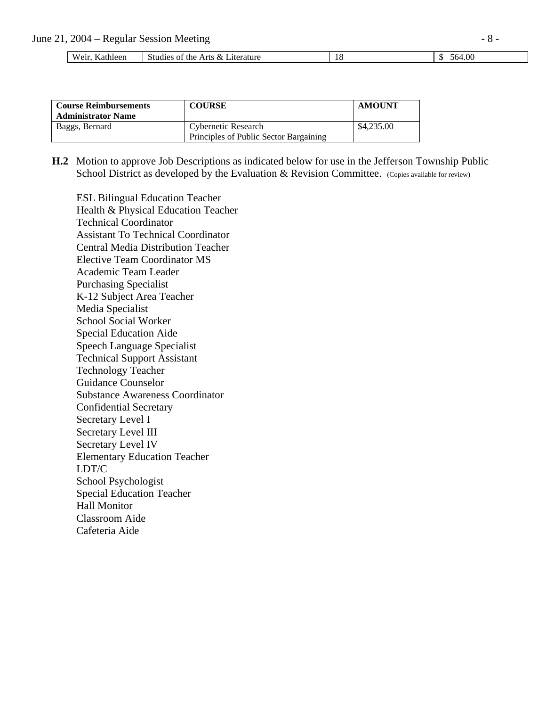| T<br>Weir.<br>Kathleen | Studies of the Arts & Literature | $+0c$<br>.064 |
|------------------------|----------------------------------|---------------|

| <b>Course Reimbursements</b><br><b>Administrator Name</b> | <b>COURSE</b>                                                 | <b>AMOUNT</b> |
|-----------------------------------------------------------|---------------------------------------------------------------|---------------|
| Baggs, Bernard                                            | Cybernetic Research<br>Principles of Public Sector Bargaining | \$4,235.00    |

 **H.2** Motion to approve Job Descriptions as indicated below for use in the Jefferson Township Public School District as developed by the Evaluation & Revision Committee. (Copies available for review)

**ESL Bilingual Education Teacher**  Health & Physical Education Teacher Technical Coordinator Assistant To Technical Coordinator Central Media Distribution Teacher Elective Team Coordinator MS Academic Team Leader Purchasing Specialist K-12 Subject Area Teacher Media Specialist School Social Worker Special Education Aide Speech Language Specialist Technical Support Assistant Technology Teacher Guidance Counselor Substance Awareness Coordinator Confidential Secretary Secretary Level I Secretary Level III Secretary Level IV Elementary Education Teacher LDT/C School Psychologist Special Education Teacher Hall Monitor Classroom Aide Cafeteria Aide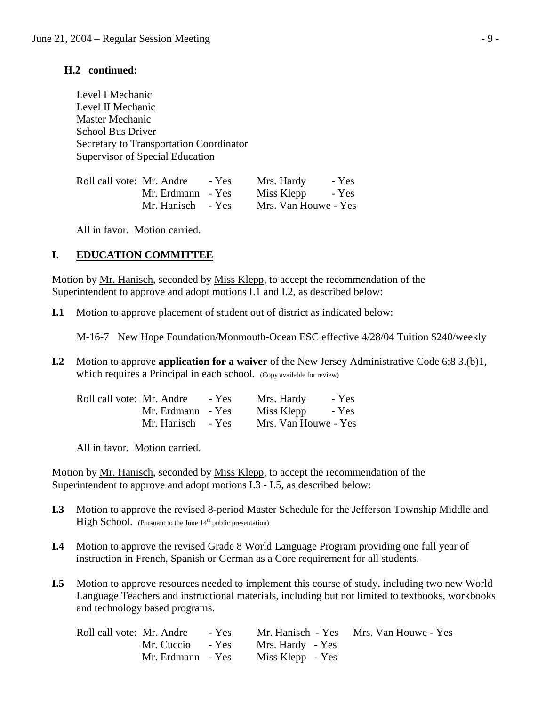### **H.2 continued:**

 Level I Mechanic Level II Mechanic Master Mechanic School Bus Driver Secretary to Transportation Coordinator Supervisor of Special Education

| Roll call vote: Mr. Andre | - Yes | Mrs. Hardy           | - Yes |
|---------------------------|-------|----------------------|-------|
| Mr. Erdmann - Yes         |       | Miss Klepp           | - Yes |
| Mr. Hanisch - Yes         |       | Mrs. Van Houwe - Yes |       |

All in favor. Motion carried.

## **I**. **EDUCATION COMMITTEE**

Motion by Mr. Hanisch, seconded by Miss Klepp, to accept the recommendation of the Superintendent to approve and adopt motions I.1 and I.2, as described below:

**I.1** Motion to approve placement of student out of district as indicated below:

M-16-7 New Hope Foundation/Monmouth-Ocean ESC effective 4/28/04 Tuition \$240/weekly

**I.2** Motion to approve **application for a waiver** of the New Jersey Administrative Code 6:8 3.(b)1, which requires a Principal in each school. (Copy available for review)

| Roll call vote: Mr. Andre | - Yes             | Mrs. Hardy           | - Yes |
|---------------------------|-------------------|----------------------|-------|
|                           | Mr. Erdmann - Yes | Miss Klepp           | - Yes |
|                           | Mr. Hanisch - Yes | Mrs. Van Houwe - Yes |       |

All in favor. Motion carried.

 Motion by Mr. Hanisch, seconded by Miss Klepp, to accept the recommendation of the Superintendent to approve and adopt motions I.3 - I.5, as described below:

- **I.3** Motion to approve the revised 8-period Master Schedule for the Jefferson Township Middle and **High School.** (Pursuant to the June 14<sup>th</sup> public presentation)
- **I.4** Motion to approve the revised Grade 8 World Language Program providing one full year of instruction in French, Spanish or German as a Core requirement for all students.
- **I.5** Motion to approve resources needed to implement this course of study, including two new World Language Teachers and instructional materials, including but not limited to textbooks, workbooks and technology based programs.

| Roll call vote: Mr. Andre | $-$ Yes |                  | Mr. Hanisch - Yes Mrs. Van Houwe - Yes |
|---------------------------|---------|------------------|----------------------------------------|
| Mr. Cuccio - Yes          |         | Mrs. Hardy - Yes |                                        |
| Mr. Erdmann - Yes         |         | Miss Klepp - Yes |                                        |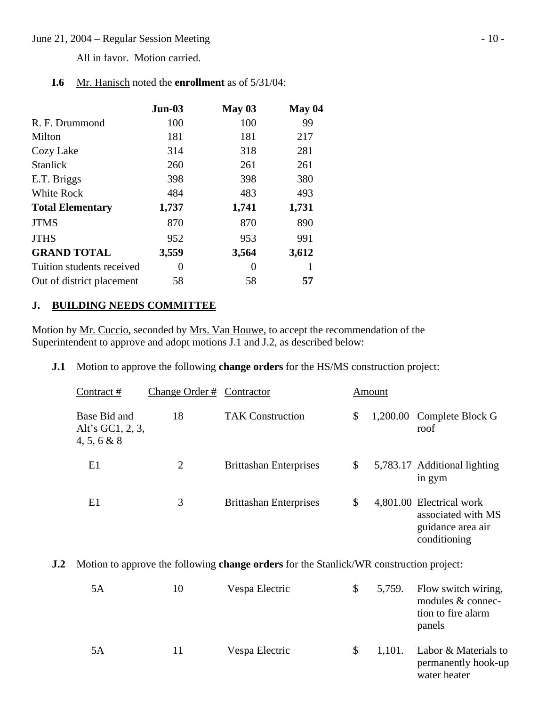#### June 21, 2004 – Regular Session Meeting - 10 -

All in favor. Motion carried.

| Mr. Hanisch noted the <b>enrollment</b> as of 5/31/04: |
|--------------------------------------------------------|
|                                                        |

|                           | $Jun-03$ | May 03 | May 04 |
|---------------------------|----------|--------|--------|
| R. F. Drummond            | 100      | 100    | 99     |
| Milton                    | 181      | 181    | 217    |
| Cozy Lake                 | 314      | 318    | 281    |
| <b>Stanlick</b>           | 260      | 261    | 261    |
| E.T. Briggs               | 398      | 398    | 380    |
| <b>White Rock</b>         | 484      | 483    | 493    |
| <b>Total Elementary</b>   | 1,737    | 1,741  | 1,731  |
| <b>JTMS</b>               | 870      | 870    | 890    |
| <b>JTHS</b>               | 952      | 953    | 991    |
| <b>GRAND TOTAL</b>        | 3,559    | 3,564  | 3,612  |
| Tuition students received | $\theta$ | 0      |        |
| Out of district placement | 58       | 58     | 57     |

## **J. BUILDING NEEDS COMMITTEE**

Motion by Mr. Cuccio, seconded by Mrs. Van Houwe, to accept the recommendation of the Superintendent to approve and adopt motions J.1 and J.2, as described below:

### **J.1** Motion to approve the following **change orders** for the HS/MS construction project:

| Contract#                                       | Change Order # Contractor |                               | Amount |                                                                                     |
|-------------------------------------------------|---------------------------|-------------------------------|--------|-------------------------------------------------------------------------------------|
| Base Bid and<br>Alt's GC1, 2, 3,<br>4, 5, 6 & 8 | 18                        | <b>TAK Construction</b>       | \$     | 1,200.00 Complete Block G<br>roof                                                   |
| E1                                              | $\overline{2}$            | <b>Brittashan Enterprises</b> | \$     | 5,783.17 Additional lighting<br>in gym                                              |
| E1                                              | 3                         | <b>Brittashan Enterprises</b> | \$     | 4,801.00 Electrical work<br>associated with MS<br>guidance area air<br>conditioning |

**J.2** Motion to approve the following **change orders** for the Stanlick/WR construction project:

| 5Α | 10 | Vespa Electric | \$           | 5,759. | Flow switch wiring,<br>modules & connec-<br>tion to fire alarm<br>panels |
|----|----|----------------|--------------|--------|--------------------------------------------------------------------------|
| 5Α | 11 | Vespa Electric | <sup>2</sup> | 1,101. | Labor & Materials to<br>permanently hook-up<br>water heater              |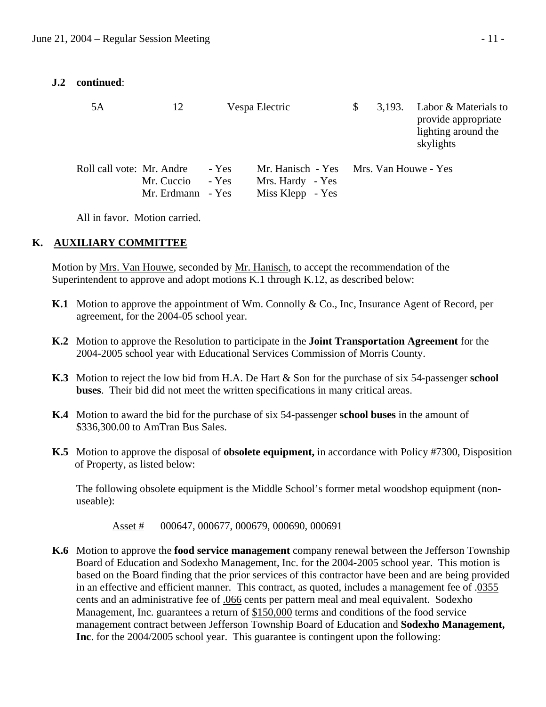## **J.2 continued**:

| 5A                        | 12                              |                | Vespa Electric                                                                 | \$<br>3,193. | Labor & Materials to<br>provide appropriate<br>lighting around the<br>skylights |
|---------------------------|---------------------------------|----------------|--------------------------------------------------------------------------------|--------------|---------------------------------------------------------------------------------|
| Roll call vote: Mr. Andre | Mr. Cuccio<br>Mr. Erdmann - Yes | - Yes<br>- Yes | Mr. Hanisch - Yes Mrs. Van Houwe - Yes<br>Mrs. Hardy - Yes<br>Miss Klepp - Yes |              |                                                                                 |

All in favor. Motion carried.

## **K. AUXILIARY COMMITTEE**

 Motion by Mrs. Van Houwe, seconded by Mr. Hanisch, to accept the recommendation of the Superintendent to approve and adopt motions K.1 through K.12, as described below:

- **K.1** Motion to approve the appointment of Wm. Connolly & Co., Inc, Insurance Agent of Record, per agreement, for the 2004-05 school year.
- **K.2** Motion to approve the Resolution to participate in the **Joint Transportation Agreement** for the 2004-2005 school year with Educational Services Commission of Morris County.
- **K.3** Motion to reject the low bid from H.A. De Hart & Son for the purchase of six 54-passenger **school buses**. Their bid did not meet the written specifications in many critical areas.
- **K.4** Motion to award the bid for the purchase of six 54-passenger **school buses** in the amount of \$336,300.00 to AmTran Bus Sales.
- **K.5** Motion to approve the disposal of **obsolete equipment,** in accordance with Policy #7300, Disposition of Property, as listed below:

 The following obsolete equipment is the Middle School's former metal woodshop equipment (non useable):

Asset # 000647, 000677, 000679, 000690, 000691

 **K.6** Motion to approve the **food service management** company renewal between the Jefferson Township Board of Education and Sodexho Management, Inc. for the 2004-2005 school year. This motion is based on the Board finding that the prior services of this contractor have been and are being provided in an effective and efficient manner. This contract, as quoted, includes a management fee of .0355 cents and an administrative fee of .066 cents per pattern meal and meal equivalent. Sodexho Management, Inc. guarantees a return of \$150,000 terms and conditions of the food service management contract between Jefferson Township Board of Education and **Sodexho Management, Inc**. for the 2004/2005 school year. This guarantee is contingent upon the following: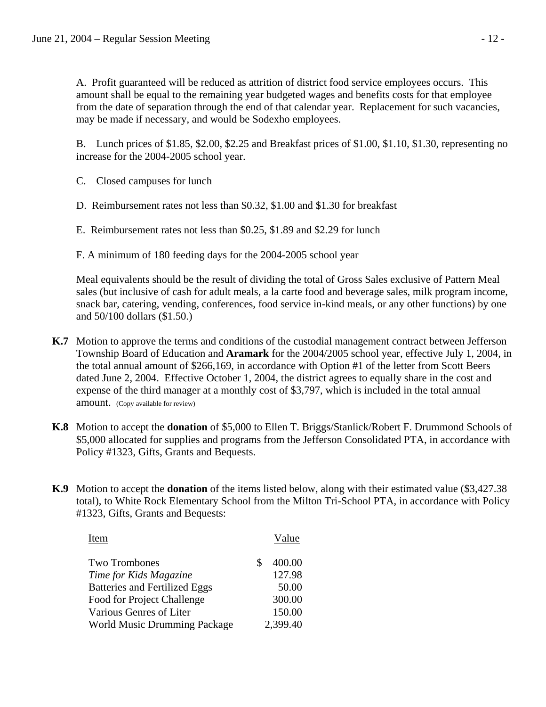A. Profit guaranteed will be reduced as attrition of district food service employees occurs. This amount shall be equal to the remaining year budgeted wages and benefits costs for that employee from the date of separation through the end of that calendar year. Replacement for such vacancies, may be made if necessary, and would be Sodexho employees.

B. Lunch prices of \$1.85, \$2.00, \$2.25 and Breakfast prices of \$1.00, \$1.10, \$1.30, representing no increase for the 2004-2005 school year.

- C. Closed campuses for lunch
- D. Reimbursement rates not less than \$0.32, \$1.00 and \$1.30 for breakfast
- E. Reimbursement rates not less than \$0.25, \$1.89 and \$2.29 for lunch
- F. A minimum of 180 feeding days for the 2004-2005 school year

 Meal equivalents should be the result of dividing the total of Gross Sales exclusive of Pattern Meal sales (but inclusive of cash for adult meals, a la carte food and beverage sales, milk program income, snack bar, catering, vending, conferences, food service in-kind meals, or any other functions) by one and 50/100 dollars (\$1.50.)

- **K.7** Motion to approve the terms and conditions of the custodial management contract between Jefferson Township Board of Education and **Aramark** for the 2004/2005 school year, effective July 1, 2004, in the total annual amount of \$266,169, in accordance with Option #1 of the letter from Scott Beers dated June 2, 2004. Effective October 1, 2004, the district agrees to equally share in the cost and expense of the third manager at a monthly cost of \$3,797, which is included in the total annual amount. (Copy available for review)
- **K.8** Motion to accept the **donation** of \$5,000 to Ellen T. Briggs/Stanlick/Robert F. Drummond Schools of \$5,000 allocated for supplies and programs from the Jefferson Consolidated PTA, in accordance with Policy #1323, Gifts, Grants and Bequests.
- **K.9** Motion to accept the **donation** of the items listed below, along with their estimated value (\$3,427.38 total), to White Rock Elementary School from the Milton Tri-School PTA, in accordance with Policy #1323, Gifts, Grants and Bequests:

| Item                                 | Value    |
|--------------------------------------|----------|
| <b>Two Trombones</b>                 | 400.00   |
| Time for Kids Magazine               | 127.98   |
| <b>Batteries and Fertilized Eggs</b> | 50.00    |
| Food for Project Challenge           | 300.00   |
| Various Genres of Liter              | 150.00   |
| <b>World Music Drumming Package</b>  | 2,399.40 |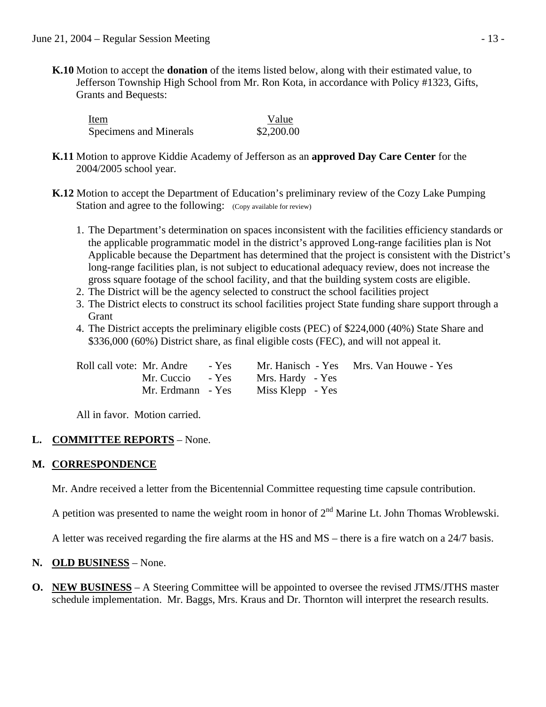**K.10** Motion to accept the **donation** of the items listed below, along with their estimated value, to Jefferson Township High School from Mr. Ron Kota, in accordance with Policy #1323, Gifts, Grants and Bequests:

**Item Value** Specimens and Minerals  $$2,200.00$ 

- **K.11** Motion to approve Kiddie Academy of Jefferson as an **approved Day Care Center** for the 2004/2005 school year.
- **K.12** Motion to accept the Department of Education's preliminary review of the Cozy Lake Pumping Station and agree to the following: (Copy available for review)
	- 1. The Department's determination on spaces inconsistent with the facilities efficiency standards or the applicable programmatic model in the district's approved Long-range facilities plan is Not Applicable because the Department has determined that the project is consistent with the District's long-range facilities plan, is not subject to educational adequacy review, does not increase the gross square footage of the school facility, and that the building system costs are eligible.
	- 2. The District will be the agency selected to construct the school facilities project
	- 3. The District elects to construct its school facilities project State funding share support through a **Grant**
	- 4. The District accepts the preliminary eligible costs (PEC) of \$224,000 (40%) State Share and \$336,000 (60%) District share, as final eligible costs (FEC), and will not appeal it.

| Roll call vote: Mr. Andre - Yes |                  | Mr. Hanisch - Yes Mrs. Van Houwe - Yes |
|---------------------------------|------------------|----------------------------------------|
| Mr. Cuccio - Yes                | Mrs. Hardy - Yes |                                        |
| Mr. Erdmann - Yes               | Miss Klepp - Yes |                                        |

All in favor. Motion carried.

## **L. COMMITTEE REPORTS** – None.

## **M. CORRESPONDENCE**

Mr. Andre received a letter from the Bicentennial Committee requesting time capsule contribution.

A petition was presented to name the weight room in honor of  $2<sup>nd</sup>$  Marine Lt. John Thomas Wroblewski.

A letter was received regarding the fire alarms at the HS and MS – there is a fire watch on a 24/7 basis.

## **N. OLD BUSINESS** – None.

**O. NEW BUSINESS** – A Steering Committee will be appointed to oversee the revised JTMS/JTHS master schedule implementation. Mr. Baggs, Mrs. Kraus and Dr. Thornton will interpret the research results.